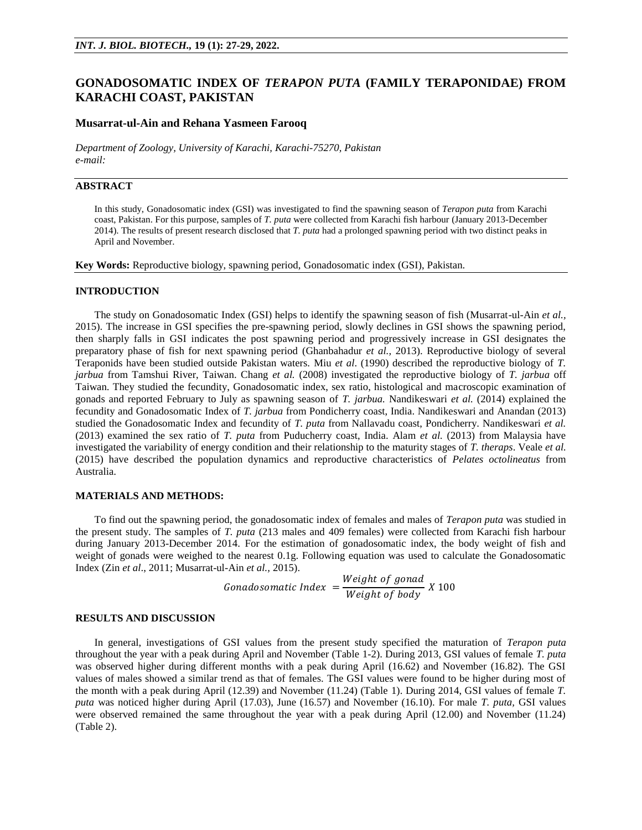# **GONADOSOMATIC INDEX OF** *TERAPON PUTA* **(FAMILY TERAPONIDAE) FROM KARACHI COAST, PAKISTAN**

#### **Musarrat-ul-Ain and Rehana Yasmeen Farooq**

*Department of Zoology, University of Karachi, Karachi-75270, Pakistan e-mail:*

# **ABSTRACT**

In this study, Gonadosomatic index (GSI) was investigated to find the spawning season of *Terapon puta* from Karachi coast, Pakistan. For this purpose, samples of *T. puta* were collected from Karachi fish harbour (January 2013-December 2014). The results of present research disclosed that *T. puta* had a prolonged spawning period with two distinct peaks in April and November.

**Key Words:** Reproductive biology, spawning period, Gonadosomatic index (GSI), Pakistan.

#### **INTRODUCTION**

The study on Gonadosomatic Index (GSI) helps to identify the spawning season of fish (Musarrat-ul-Ain *et al.,* 2015). The increase in GSI specifies the pre-spawning period, slowly declines in GSI shows the spawning period, then sharply falls in GSI indicates the post spawning period and progressively increase in GSI designates the preparatory phase of fish for next spawning period (Ghanbahadur *et al.,* 2013). Reproductive biology of several Teraponids have been studied outside Pakistan waters. Miu *et al*. (1990) described the reproductive biology of *T. jarbua* from Tamshui River, Taiwan. Chang *et al.* (2008) investigated the reproductive biology of *T. jarbua* off Taiwan. They studied the fecundity, Gonadosomatic index, sex ratio, histological and macroscopic examination of gonads and reported February to July as spawning season of *T. jarbua.* Nandikeswari *et al.* (2014) explained the fecundity and Gonadosomatic Index of *T. jarbua* from Pondicherry coast, India. Nandikeswari and Anandan (2013) studied the Gonadosomatic Index and fecundity of *T. puta* from Nallavadu coast, Pondicherry. Nandikeswari *et al.* (2013) examined the sex ratio of *T. puta* from Puducherry coast, India. Alam *et al.* (2013) from Malaysia have investigated the variability of energy condition and their relationship to the maturity stages of *T. theraps*. Veale *et al.* (2015) have described the population dynamics and reproductive characteristics of *Pelates octolineatus* from Australia.

#### **MATERIALS AND METHODS:**

To find out the spawning period, the gonadosomatic index of females and males of *Terapon puta* was studied in the present study. The samples of *T. puta* (213 males and 409 females) were collected from Karachi fish harbour during January 2013-December 2014. For the estimation of gonadosomatic index, the body weight of fish and weight of gonads were weighed to the nearest 0.1g. Following equation was used to calculate the Gonadosomatic Index (Zin *et al*., 2011; Musarrat-ul-Ain *et al.,* 2015).

> Gonadosomatic Index  $=\frac{W}{W}$ W

### **RESULTS AND DISCUSSION**

In general, investigations of GSI values from the present study specified the maturation of *Terapon puta*  throughout the year with a peak during April and November (Table 1-2). During 2013, GSI values of female *T. puta* was observed higher during different months with a peak during April (16.62) and November (16.82). The GSI values of males showed a similar trend as that of females. The GSI values were found to be higher during most of the month with a peak during April (12.39) and November (11.24) (Table 1). During 2014, GSI values of female *T. puta* was noticed higher during April (17.03), June (16.57) and November (16.10). For male *T. puta,* GSI values were observed remained the same throughout the year with a peak during April (12.00) and November (11.24) (Table 2).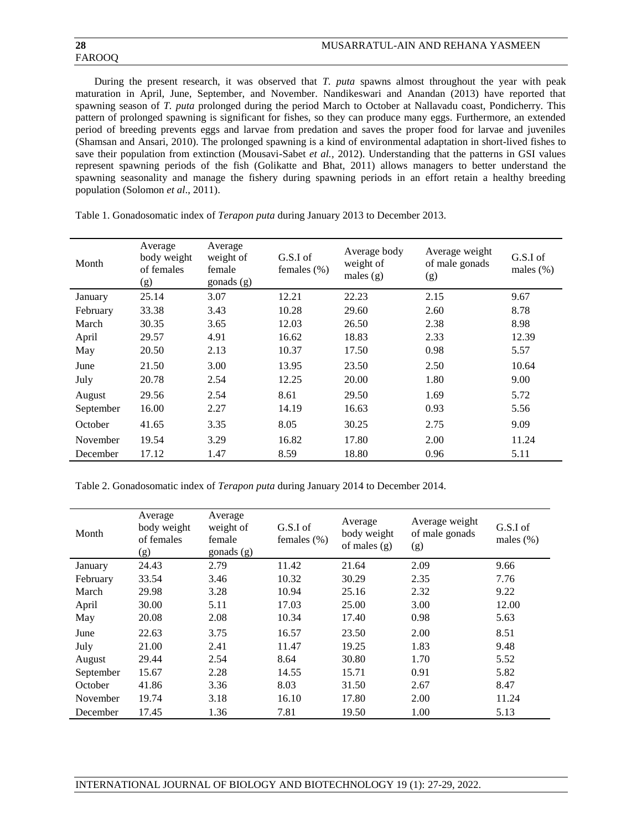# FAROOQ

During the present research, it was observed that *T. puta* spawns almost throughout the year with peak maturation in April, June, September, and November. Nandikeswari and Anandan (2013) have reported that spawning season of *T. puta* prolonged during the period March to October at Nallavadu coast, Pondicherry. This pattern of prolonged spawning is significant for fishes, so they can produce many eggs. Furthermore, an extended period of breeding prevents eggs and larvae from predation and saves the proper food for larvae and juveniles (Shamsan and Ansari, 2010). The prolonged spawning is a kind of environmental adaptation in short-lived fishes to save their population from extinction (Mousavi-Sabet *et al.,* 2012). Understanding that the patterns in GSI values represent spawning periods of the fish (Golikatte and Bhat, 2011) allows managers to better understand the spawning seasonality and manage the fishery during spawning periods in an effort retain a healthy breeding population (Solomon *et al*., 2011).

| Month     | Average<br>body weight<br>of females<br>(g) | Average<br>weight of<br>female<br>gonads (g) | G.S.I of<br>females $(\%)$ | Average body<br>weight of<br>males $(g)$ | Average weight<br>of male gonads<br>(g) | G.S.I of<br>males $(\%)$ |
|-----------|---------------------------------------------|----------------------------------------------|----------------------------|------------------------------------------|-----------------------------------------|--------------------------|
| January   | 25.14                                       | 3.07                                         | 12.21                      | 22.23                                    | 2.15                                    | 9.67                     |
| February  | 33.38                                       | 3.43                                         | 10.28                      | 29.60                                    | 2.60                                    | 8.78                     |
| March     | 30.35                                       | 3.65                                         | 12.03                      | 26.50                                    | 2.38                                    | 8.98                     |
| April     | 29.57                                       | 4.91                                         | 16.62                      | 18.83                                    | 2.33                                    | 12.39                    |
| May       | 20.50                                       | 2.13                                         | 10.37                      | 17.50                                    | 0.98                                    | 5.57                     |
| June      | 21.50                                       | 3.00                                         | 13.95                      | 23.50                                    | 2.50                                    | 10.64                    |
| July      | 20.78                                       | 2.54                                         | 12.25                      | 20.00                                    | 1.80                                    | 9.00                     |
| August    | 29.56                                       | 2.54                                         | 8.61                       | 29.50                                    | 1.69                                    | 5.72                     |
| September | 16.00                                       | 2.27                                         | 14.19                      | 16.63                                    | 0.93                                    | 5.56                     |
| October   | 41.65                                       | 3.35                                         | 8.05                       | 30.25                                    | 2.75                                    | 9.09                     |
| November  | 19.54                                       | 3.29                                         | 16.82                      | 17.80                                    | 2.00                                    | 11.24                    |
| December  | 17.12                                       | 1.47                                         | 8.59                       | 18.80                                    | 0.96                                    | 5.11                     |

Table 1. Gonadosomatic index of *Terapon puta* during January 2013 to December 2013.

Table 2. Gonadosomatic index of *Terapon puta* during January 2014 to December 2014.

| Month     | Average<br>body weight<br>of females<br>(g) | Average<br>weight of<br>female<br>gonads (g) | G.S.I of<br>females $(\% )$ | Average<br>body weight<br>of males $(g)$ | Average weight<br>of male gonads<br>(g) | G.S.I of<br>males $(\%)$ |
|-----------|---------------------------------------------|----------------------------------------------|-----------------------------|------------------------------------------|-----------------------------------------|--------------------------|
| January   | 24.43                                       | 2.79                                         | 11.42                       | 21.64                                    | 2.09                                    | 9.66                     |
| February  | 33.54                                       | 3.46                                         | 10.32                       | 30.29                                    | 2.35                                    | 7.76                     |
| March     | 29.98                                       | 3.28                                         | 10.94                       | 25.16                                    | 2.32                                    | 9.22                     |
| April     | 30.00                                       | 5.11                                         | 17.03                       | 25.00                                    | 3.00                                    | 12.00                    |
| May       | 20.08                                       | 2.08                                         | 10.34                       | 17.40                                    | 0.98                                    | 5.63                     |
| June      | 22.63                                       | 3.75                                         | 16.57                       | 23.50                                    | 2.00                                    | 8.51                     |
| July      | 21.00                                       | 2.41                                         | 11.47                       | 19.25                                    | 1.83                                    | 9.48                     |
| August    | 29.44                                       | 2.54                                         | 8.64                        | 30.80                                    | 1.70                                    | 5.52                     |
| September | 15.67                                       | 2.28                                         | 14.55                       | 15.71                                    | 0.91                                    | 5.82                     |
| October   | 41.86                                       | 3.36                                         | 8.03                        | 31.50                                    | 2.67                                    | 8.47                     |
| November  | 19.74                                       | 3.18                                         | 16.10                       | 17.80                                    | 2.00                                    | 11.24                    |
| December  | 17.45                                       | 1.36                                         | 7.81                        | 19.50                                    | 1.00                                    | 5.13                     |